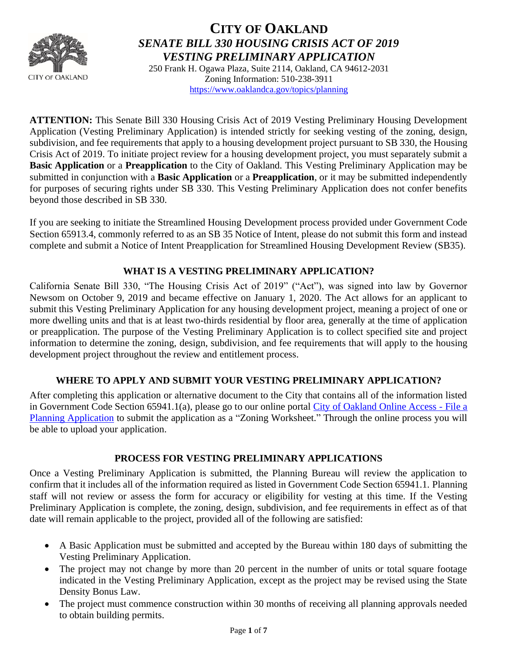

## **CITY OF OAKLAND** *SENATE BILL 330 HOUSING CRISIS ACT OF 2019 VESTING PRELIMINARY APPLICATION*

250 Frank H. Ogawa Plaza, Suite 2114, Oakland, CA 94612-2031 Zoning Information: 510-238-3911 <https://www.oaklandca.gov/topics/planning>

**ATTENTION:** This Senate Bill 330 Housing Crisis Act of 2019 Vesting Preliminary Housing Development Application (Vesting Preliminary Application) is intended strictly for seeking vesting of the zoning, design, subdivision, and fee requirements that apply to a housing development project pursuant to SB 330, the Housing Crisis Act of 2019. To initiate project review for a housing development project, you must separately submit a **Basic Application** or a **Preapplication** to the City of Oakland. This Vesting Preliminary Application may be submitted in conjunction with a **Basic Application** or a **Preapplication**, or it may be submitted independently for purposes of securing rights under SB 330. This Vesting Preliminary Application does not confer benefits beyond those described in SB 330.

If you are seeking to initiate the Streamlined Housing Development process provided under Government Code Section 65913.4, commonly referred to as an SB 35 Notice of Intent, please do not submit this form and instead complete and submit a Notice of Intent Preapplication for Streamlined Housing Development Review (SB35).

## **WHAT IS A VESTING PRELIMINARY APPLICATION?**

California Senate Bill 330, "The Housing Crisis Act of 2019" ("Act"), was signed into law by Governor Newsom on October 9, 2019 and became effective on January 1, 2020. The Act allows for an applicant to submit this Vesting Preliminary Application for any housing development project, meaning a project of one or more dwelling units and that is at least two-thirds residential by floor area, generally at the time of application or preapplication. The purpose of the Vesting Preliminary Application is to collect specified site and project information to determine the zoning, design, subdivision, and fee requirements that will apply to the housing development project throughout the review and entitlement process.

## **WHERE TO APPLY AND SUBMIT YOUR VESTING PRELIMINARY APPLICATION?**

After completing this application or alternative document to the City that contains all of the information listed in Government Code Section 65941.1(a), please go to our online portal [City of Oakland Online Access -](https://aca-prod.accela.com/OAKLAND/Cap/CapApplyDisclaimer.aspx?module=Planning&TabName=Planning&TabList=Home%7C0%7CBuilding%7C1%7CPlanning%7C2%7CEnforcement%7C3%7CFire%7C4%7CCurrentTabIndex%7C2) File a [Planning Application](https://aca-prod.accela.com/OAKLAND/Cap/CapApplyDisclaimer.aspx?module=Planning&TabName=Planning&TabList=Home%7C0%7CBuilding%7C1%7CPlanning%7C2%7CEnforcement%7C3%7CFire%7C4%7CCurrentTabIndex%7C2) to submit the application as a "Zoning Worksheet." Through the online process you will be able to upload your application.

### **PROCESS FOR VESTING PRELIMINARY APPLICATIONS**

Once a Vesting Preliminary Application is submitted, the Planning Bureau will review the application to confirm that it includes all of the information required as listed in Government Code Section 65941.1. Planning staff will not review or assess the form for accuracy or eligibility for vesting at this time. If the Vesting Preliminary Application is complete, the zoning, design, subdivision, and fee requirements in effect as of that date will remain applicable to the project, provided all of the following are satisfied:

- A Basic Application must be submitted and accepted by the Bureau within 180 days of submitting the Vesting Preliminary Application.
- The project may not change by more than 20 percent in the number of units or total square footage indicated in the Vesting Preliminary Application, except as the project may be revised using the State Density Bonus Law.
- The project must commence construction within 30 months of receiving all planning approvals needed to obtain building permits.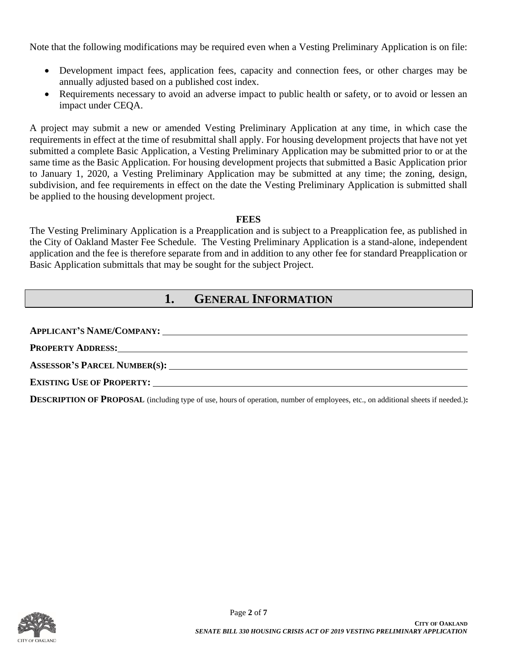Note that the following modifications may be required even when a Vesting Preliminary Application is on file:

- Development impact fees, application fees, capacity and connection fees, or other charges may be annually adjusted based on a published cost index.
- Requirements necessary to avoid an adverse impact to public health or safety, or to avoid or lessen an impact under CEQA.

A project may submit a new or amended Vesting Preliminary Application at any time, in which case the requirements in effect at the time of resubmittal shall apply. For housing development projects that have not yet submitted a complete Basic Application, a Vesting Preliminary Application may be submitted prior to or at the same time as the Basic Application. For housing development projects that submitted a Basic Application prior to January 1, 2020, a Vesting Preliminary Application may be submitted at any time; the zoning, design, subdivision, and fee requirements in effect on the date the Vesting Preliminary Application is submitted shall be applied to the housing development project.

#### **FEES**

The Vesting Preliminary Application is a Preapplication and is subject to a Preapplication fee, as published in the City of Oakland Master Fee Schedule. The Vesting Preliminary Application is a stand-alone, independent application and the fee is therefore separate from and in addition to any other fee for standard Preapplication or Basic Application submittals that may be sought for the subject Project.

## **1. GENERAL INFORMATION**

**APPLICANT'S NAME/COMPANY:**

**PROPERTY ADDRESS:**

**ASSESSOR'S PARCEL NUMBER(S):**

 $$ 

**DESCRIPTION OF PROPOSAL** (including type of use, hours of operation, number of employees, etc., on additional sheets if needed.):

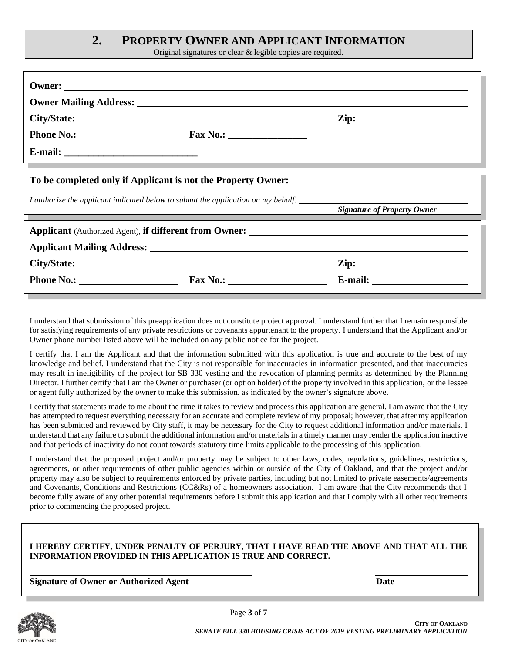## **2. PROPERTY OWNER AND APPLICANT INFORMATION**

Original signatures or clear & legible copies are required.

|                                                                                   | $\mathbf{Zip:}$                    |  |  |  |  |  |  |
|-----------------------------------------------------------------------------------|------------------------------------|--|--|--|--|--|--|
|                                                                                   |                                    |  |  |  |  |  |  |
|                                                                                   |                                    |  |  |  |  |  |  |
| To be completed only if Applicant is not the Property Owner:                      |                                    |  |  |  |  |  |  |
| I authorize the applicant indicated below to submit the application on my behalf. | <b>Signature of Property Owner</b> |  |  |  |  |  |  |
|                                                                                   |                                    |  |  |  |  |  |  |
|                                                                                   |                                    |  |  |  |  |  |  |
|                                                                                   |                                    |  |  |  |  |  |  |
| Phone No.: Fax No.: Fax No.:                                                      |                                    |  |  |  |  |  |  |

I understand that submission of this preapplication does not constitute project approval. I understand further that I remain responsible for satisfying requirements of any private restrictions or covenants appurtenant to the property. I understand that the Applicant and/or Owner phone number listed above will be included on any public notice for the project.

I certify that I am the Applicant and that the information submitted with this application is true and accurate to the best of my knowledge and belief. I understand that the City is not responsible for inaccuracies in information presented, and that inaccuracies may result in ineligibility of the project for SB 330 vesting and the revocation of planning permits as determined by the Planning Director. I further certify that I am the Owner or purchaser (or option holder) of the property involved in this application, or the lessee or agent fully authorized by the owner to make this submission, as indicated by the owner's signature above.

I certify that statements made to me about the time it takes to review and process this application are general. I am aware that the City has attempted to request everything necessary for an accurate and complete review of my proposal; however, that after my application has been submitted and reviewed by City staff, it may be necessary for the City to request additional information and/or materials. I understand that any failure to submit the additional information and/or materials in a timely manner may render the application inactive and that periods of inactivity do not count towards statutory time limits applicable to the processing of this application.

I understand that the proposed project and/or property may be subject to other laws, codes, regulations, guidelines, restrictions, agreements, or other requirements of other public agencies within or outside of the City of Oakland, and that the project and/or property may also be subject to requirements enforced by private parties, including but not limited to private easements/agreements and Covenants, Conditions and Restrictions (CC&Rs) of a homeowners association. I am aware that the City recommends that I become fully aware of any other potential requirements before I submit this application and that I comply with all other requirements prior to commencing the proposed project.

#### **I HEREBY CERTIFY, UNDER PENALTY OF PERJURY, THAT I HAVE READ THE ABOVE AND THAT ALL THE INFORMATION PROVIDED IN THIS APPLICATION IS TRUE AND CORRECT.**

**Signature of Owner or Authorized Agent Date**

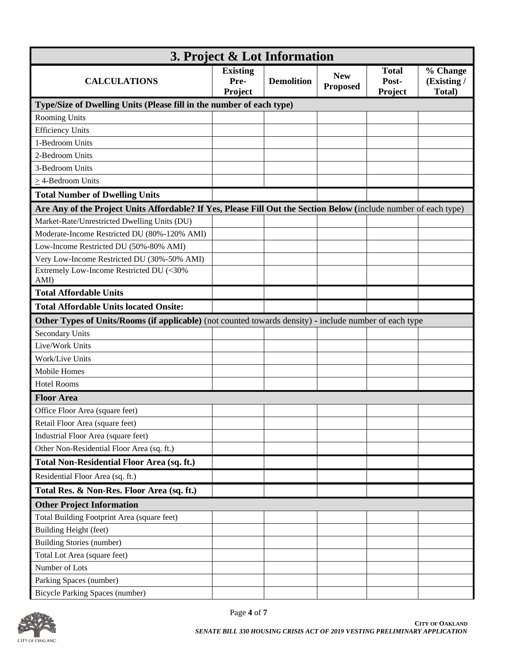| 3. Project & Lot Information                                                                                     |                                    |                   |                               |                                  |                                   |  |  |  |
|------------------------------------------------------------------------------------------------------------------|------------------------------------|-------------------|-------------------------------|----------------------------------|-----------------------------------|--|--|--|
| <b>CALCULATIONS</b>                                                                                              | <b>Existing</b><br>Pre-<br>Project | <b>Demolition</b> | <b>New</b><br><b>Proposed</b> | <b>Total</b><br>Post-<br>Project | % Change<br>(Existing /<br>Total) |  |  |  |
| Type/Size of Dwelling Units (Please fill in the number of each type)                                             |                                    |                   |                               |                                  |                                   |  |  |  |
| <b>Rooming Units</b>                                                                                             |                                    |                   |                               |                                  |                                   |  |  |  |
| <b>Efficiency Units</b>                                                                                          |                                    |                   |                               |                                  |                                   |  |  |  |
| 1-Bedroom Units                                                                                                  |                                    |                   |                               |                                  |                                   |  |  |  |
| 2-Bedroom Units                                                                                                  |                                    |                   |                               |                                  |                                   |  |  |  |
| 3-Bedroom Units                                                                                                  |                                    |                   |                               |                                  |                                   |  |  |  |
| $\geq$ 4-Bedroom Units                                                                                           |                                    |                   |                               |                                  |                                   |  |  |  |
| <b>Total Number of Dwelling Units</b>                                                                            |                                    |                   |                               |                                  |                                   |  |  |  |
| Are Any of the Project Units Affordable? If Yes, Please Fill Out the Section Below (include number of each type) |                                    |                   |                               |                                  |                                   |  |  |  |
| Market-Rate/Unrestricted Dwelling Units (DU)                                                                     |                                    |                   |                               |                                  |                                   |  |  |  |
| Moderate-Income Restricted DU (80%-120% AMI)                                                                     |                                    |                   |                               |                                  |                                   |  |  |  |
| Low-Income Restricted DU (50%-80% AMI)                                                                           |                                    |                   |                               |                                  |                                   |  |  |  |
| Very Low-Income Restricted DU (30%-50% AMI)                                                                      |                                    |                   |                               |                                  |                                   |  |  |  |
| Extremely Low-Income Restricted DU (<30%<br>AMI)                                                                 |                                    |                   |                               |                                  |                                   |  |  |  |
| <b>Total Affordable Units</b>                                                                                    |                                    |                   |                               |                                  |                                   |  |  |  |
| <b>Total Affordable Units located Onsite:</b>                                                                    |                                    |                   |                               |                                  |                                   |  |  |  |
| Other Types of Units/Rooms (if applicable) (not counted towards density) - include number of each type           |                                    |                   |                               |                                  |                                   |  |  |  |
| <b>Secondary Units</b>                                                                                           |                                    |                   |                               |                                  |                                   |  |  |  |
| Live/Work Units                                                                                                  |                                    |                   |                               |                                  |                                   |  |  |  |
| Work/Live Units                                                                                                  |                                    |                   |                               |                                  |                                   |  |  |  |
| Mobile Homes                                                                                                     |                                    |                   |                               |                                  |                                   |  |  |  |
| <b>Hotel Rooms</b>                                                                                               |                                    |                   |                               |                                  |                                   |  |  |  |
| <b>Floor Area</b>                                                                                                |                                    |                   |                               |                                  |                                   |  |  |  |
| Office Floor Area (square feet)                                                                                  |                                    |                   |                               |                                  |                                   |  |  |  |
| Retail Floor Area (square feet)                                                                                  |                                    |                   |                               |                                  |                                   |  |  |  |
| Industrial Floor Area (square feet)                                                                              |                                    |                   |                               |                                  |                                   |  |  |  |
| Other Non-Residential Floor Area (sq. ft.)                                                                       |                                    |                   |                               |                                  |                                   |  |  |  |
| <b>Total Non-Residential Floor Area (sq. ft.)</b>                                                                |                                    |                   |                               |                                  |                                   |  |  |  |
| Residential Floor Area (sq. ft.)                                                                                 |                                    |                   |                               |                                  |                                   |  |  |  |
| Total Res. & Non-Res. Floor Area (sq. ft.)                                                                       |                                    |                   |                               |                                  |                                   |  |  |  |
| <b>Other Project Information</b>                                                                                 |                                    |                   |                               |                                  |                                   |  |  |  |
| Total Building Footprint Area (square feet)                                                                      |                                    |                   |                               |                                  |                                   |  |  |  |
| Building Height (feet)                                                                                           |                                    |                   |                               |                                  |                                   |  |  |  |
| <b>Building Stories (number)</b>                                                                                 |                                    |                   |                               |                                  |                                   |  |  |  |
| Total Lot Area (square feet)                                                                                     |                                    |                   |                               |                                  |                                   |  |  |  |
| Number of Lots                                                                                                   |                                    |                   |                               |                                  |                                   |  |  |  |
| Parking Spaces (number)                                                                                          |                                    |                   |                               |                                  |                                   |  |  |  |
| <b>Bicycle Parking Spaces (number)</b>                                                                           |                                    |                   |                               |                                  |                                   |  |  |  |

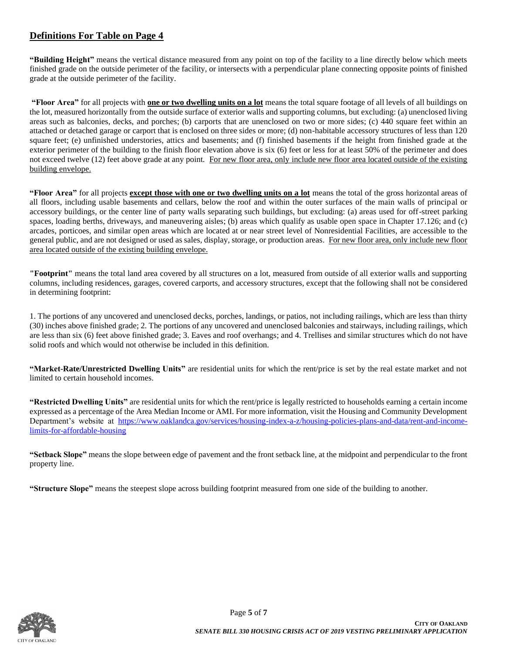### **Definitions For Table on Page 4**

**"Building Height"** means the vertical distance measured from any point on top of the facility to a line directly below which meets finished grade on the outside perimeter of the facility, or intersects with a perpendicular plane connecting opposite points of finished grade at the outside perimeter of the facility.

**"Floor Area"** for all projects with **one or two dwelling units on a lot** means the total square footage of all levels of all buildings on the lot, measured horizontally from the outside surface of exterior walls and supporting columns, but excluding: (a) unenclosed living areas such as balconies, decks, and porches; (b) carports that are unenclosed on two or more sides; (c) 440 square feet within an attached or detached garage or carport that is enclosed on three sides or more; (d) non-habitable accessory structures of less than 120 square feet; (e) unfinished understories, attics and basements; and (f) finished basements if the height from finished grade at the exterior perimeter of the building to the finish floor elevation above is six (6) feet or less for at least 50% of the perimeter and does not exceed twelve (12) feet above grade at any point. For new floor area, only include new floor area located outside of the existing building envelope.

**"Floor Area"** for all projects **except those with one or two dwelling units on a lot** means the total of the gross horizontal areas of all floors, including usable basements and cellars, below the roof and within the outer surfaces of the main walls of principal or accessory buildings, or the center line of party walls separating such buildings, but excluding: (a) areas used for off-street parking spaces, loading berths, driveways, and maneuvering aisles; (b) areas which qualify as usable open space in Chapter 17.126; and (c) arcades, porticoes, and similar open areas which are located at or near street level of Nonresidential Facilities, are accessible to the general public, and are not designed or used as sales, display, storage, or production areas. For new floor area, only include new floor area located outside of the existing building envelope.

**"Footprint"** means the total land area covered by all structures on a lot, measured from outside of all exterior walls and supporting columns, including residences, garages, covered carports, and accessory structures, except that the following shall not be considered in determining footprint:

1. The portions of any uncovered and unenclosed decks, porches, landings, or patios, not including railings, which are less than thirty (30) inches above finished grade; 2. The portions of any uncovered and unenclosed balconies and stairways, including railings, which are less than six (6) feet above finished grade; 3. Eaves and roof overhangs; and 4. Trellises and similar structures which do not have solid roofs and which would not otherwise be included in this definition.

**"Market-Rate/Unrestricted Dwelling Units"** are residential units for which the rent/price is set by the real estate market and not limited to certain household incomes.

**"Restricted Dwelling Units"** are residential units for which the rent/price is legally restricted to households earning a certain income expressed as a percentage of the Area Median Income or AMI. For more information, visit the Housing and Community Development Department's website at [https://www.oaklandca.gov/services/housing-index-a-z/housing-policies-plans-and-data/rent-and-income](https://www.oaklandca.gov/services/housing-index-a-z/housing-policies-plans-and-data/rent-and-income-limits-for-affordable-housing)[limits-for-affordable-housing](https://www.oaklandca.gov/services/housing-index-a-z/housing-policies-plans-and-data/rent-and-income-limits-for-affordable-housing)

**"Setback Slope"** means the slope between edge of pavement and the front setback line, at the midpoint and perpendicular to the front property line.

**"Structure Slope"** means the steepest slope across building footprint measured from one side of the building to another.

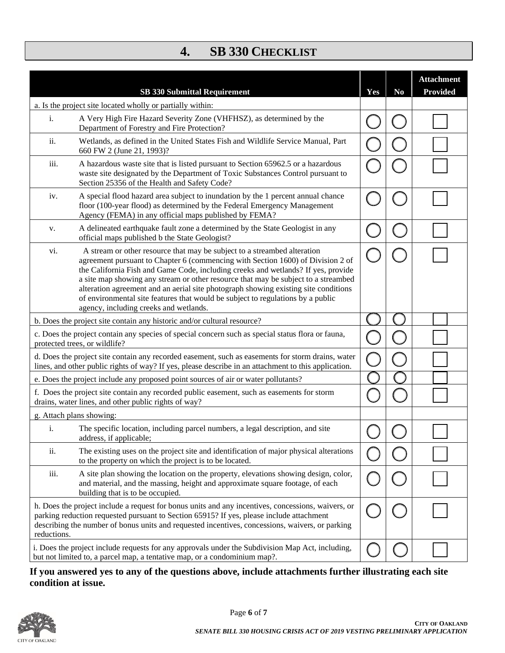# **4. SB 330 CHECKLIST**

| <b>SB 330 Submittal Requirement</b>                                                                                                                                                                                                                                                                                                                                                                                                                                                                                                                               | Yes | N <sub>0</sub> | <b>Attachment</b><br><b>Provided</b> |
|-------------------------------------------------------------------------------------------------------------------------------------------------------------------------------------------------------------------------------------------------------------------------------------------------------------------------------------------------------------------------------------------------------------------------------------------------------------------------------------------------------------------------------------------------------------------|-----|----------------|--------------------------------------|
| a. Is the project site located wholly or partially within:                                                                                                                                                                                                                                                                                                                                                                                                                                                                                                        |     |                |                                      |
| A Very High Fire Hazard Severity Zone (VHFHSZ), as determined by the<br>i.<br>Department of Forestry and Fire Protection?                                                                                                                                                                                                                                                                                                                                                                                                                                         |     |                |                                      |
| Wetlands, as defined in the United States Fish and Wildlife Service Manual, Part<br>ii.<br>660 FW 2 (June 21, 1993)?                                                                                                                                                                                                                                                                                                                                                                                                                                              |     |                |                                      |
| iii.<br>A hazardous waste site that is listed pursuant to Section 65962.5 or a hazardous<br>waste site designated by the Department of Toxic Substances Control pursuant to<br>Section 25356 of the Health and Safety Code?                                                                                                                                                                                                                                                                                                                                       |     |                |                                      |
| A special flood hazard area subject to inundation by the 1 percent annual chance<br>iv.<br>floor (100-year flood) as determined by the Federal Emergency Management<br>Agency (FEMA) in any official maps published by FEMA?                                                                                                                                                                                                                                                                                                                                      |     |                |                                      |
| A delineated earthquake fault zone a determined by the State Geologist in any<br>v.<br>official maps published b the State Geologist?                                                                                                                                                                                                                                                                                                                                                                                                                             |     |                |                                      |
| A stream or other resource that may be subject to a streambed alteration<br>vi.<br>agreement pursuant to Chapter 6 (commencing with Section 1600) of Division 2 of<br>the California Fish and Game Code, including creeks and wetlands? If yes, provide<br>a site map showing any stream or other resource that may be subject to a streambed<br>alteration agreement and an aerial site photograph showing existing site conditions<br>of environmental site features that would be subject to regulations by a public<br>agency, including creeks and wetlands. |     |                |                                      |
| b. Does the project site contain any historic and/or cultural resource?                                                                                                                                                                                                                                                                                                                                                                                                                                                                                           |     |                |                                      |
| c. Does the project contain any species of special concern such as special status flora or fauna,<br>protected trees, or wildlife?                                                                                                                                                                                                                                                                                                                                                                                                                                |     |                |                                      |
| d. Does the project site contain any recorded easement, such as easements for storm drains, water<br>lines, and other public rights of way? If yes, please describe in an attachment to this application.                                                                                                                                                                                                                                                                                                                                                         |     |                |                                      |
| e. Does the project include any proposed point sources of air or water pollutants?                                                                                                                                                                                                                                                                                                                                                                                                                                                                                |     |                |                                      |
| f. Does the project site contain any recorded public easement, such as easements for storm<br>drains, water lines, and other public rights of way?                                                                                                                                                                                                                                                                                                                                                                                                                |     |                |                                      |
| g. Attach plans showing:                                                                                                                                                                                                                                                                                                                                                                                                                                                                                                                                          |     |                |                                      |
| The specific location, including parcel numbers, a legal description, and site<br>i.<br>address, if applicable;                                                                                                                                                                                                                                                                                                                                                                                                                                                   |     |                |                                      |
| ii.<br>The existing uses on the project site and identification of major physical alterations<br>to the property on which the project is to be located.                                                                                                                                                                                                                                                                                                                                                                                                           |     |                |                                      |
| iii.<br>A site plan showing the location on the property, elevations showing design, color,<br>and material, and the massing, height and approximate square footage, of each<br>building that is to be occupied.                                                                                                                                                                                                                                                                                                                                                  |     |                |                                      |
| h. Does the project include a request for bonus units and any incentives, concessions, waivers, or<br>parking reduction requested pursuant to Section 65915? If yes, please include attachment<br>describing the number of bonus units and requested incentives, concessions, waivers, or parking<br>reductions.                                                                                                                                                                                                                                                  |     |                |                                      |
| i. Does the project include requests for any approvals under the Subdivision Map Act, including,<br>but not limited to, a parcel map, a tentative map, or a condominium map?.                                                                                                                                                                                                                                                                                                                                                                                     |     |                |                                      |

**If you answered yes to any of the questions above, include attachments further illustrating each site condition at issue.**